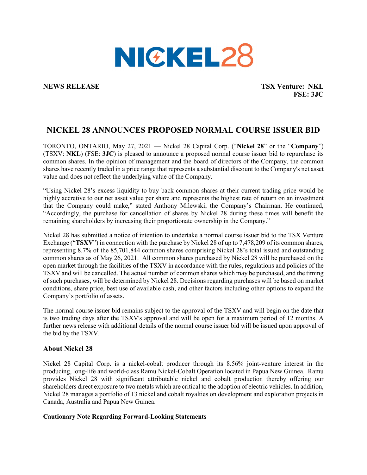

**NEWS RELEASE TSX Venture: NKL FSE: 3JC**

## **NICKEL 28 ANNOUNCES PROPOSED NORMAL COURSE ISSUER BID**

TORONTO, ONTARIO, May 27, 2021 — Nickel 28 Capital Corp. ("**Nickel 28**" or the "**Company**") (TSXV: **NKL**) (FSE: **3JC**) is pleased to announce a proposed normal course issuer bid to repurchase its common shares. In the opinion of management and the board of directors of the Company, the common shares have recently traded in a price range that represents a substantial discount to the Company's net asset value and does not reflect the underlying value of the Company.

"Using Nickel 28's excess liquidity to buy back common shares at their current trading price would be highly accretive to our net asset value per share and represents the highest rate of return on an investment that the Company could make," stated Anthony Milewski, the Company's Chairman. He continued, "Accordingly, the purchase for cancellation of shares by Nickel 28 during these times will benefit the remaining shareholders by increasing their proportionate ownership in the Company."

Nickel 28 has submitted a notice of intention to undertake a normal course issuer bid to the TSX Venture Exchange ("**TSXV**") in connection with the purchase by Nickel 28 of up to 7,478,209 of its common shares, representing 8.7% of the 85,701,844 common shares comprising Nickel 28's total issued and outstanding common shares as of May 26, 2021. All common shares purchased by Nickel 28 will be purchased on the open market through the facilities of the TSXV in accordance with the rules, regulations and policies of the TSXV and will be cancelled. The actual number of common shares which may be purchased, and the timing of such purchases, will be determined by Nickel 28. Decisions regarding purchases will be based on market conditions, share price, best use of available cash, and other factors including other options to expand the Company's portfolio of assets.

The normal course issuer bid remains subject to the approval of the TSXV and will begin on the date that is two trading days after the TSXV's approval and will be open for a maximum period of 12 months. A further news release with additional details of the normal course issuer bid will be issued upon approval of the bid by the TSXV.

## **About Nickel 28**

Nickel 28 Capital Corp. is a nickel-cobalt producer through its 8.56% joint-venture interest in the producing, long-life and world-class Ramu Nickel-Cobalt Operation located in Papua New Guinea. Ramu provides Nickel 28 with significant attributable nickel and cobalt production thereby offering our shareholders direct exposure to two metals which are critical to the adoption of electric vehicles. In addition, Nickel 28 manages a portfolio of 13 nickel and cobalt royalties on development and exploration projects in Canada, Australia and Papua New Guinea.

## **Cautionary Note Regarding Forward-Looking Statements**